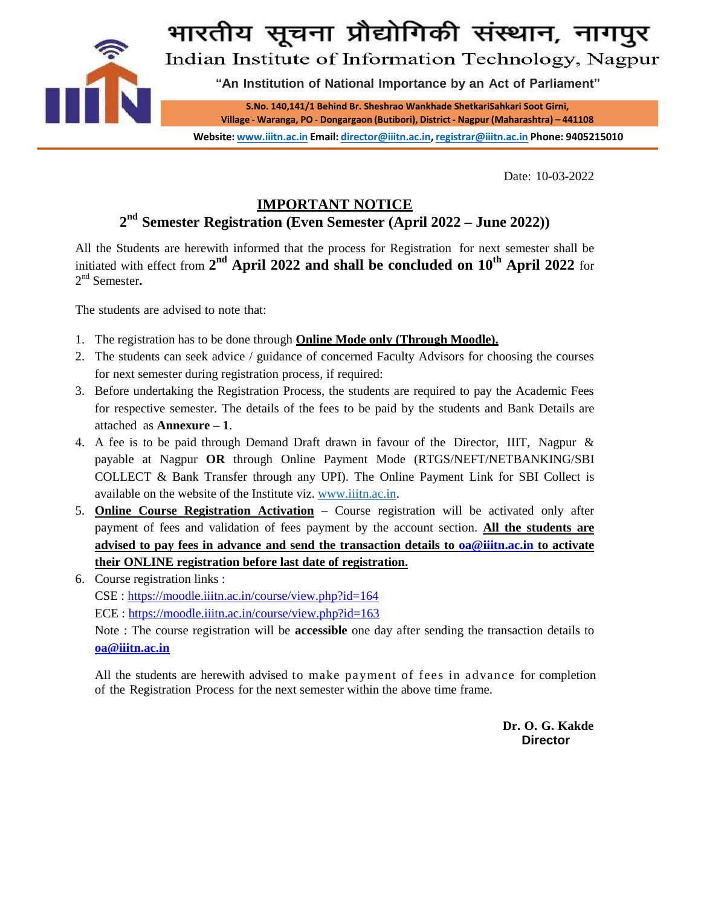

Date: 10-03-2022

## **IMPORTANT NOTICE**

**2 nd Semester Registration (Even Semester (April 2022 – June 2022))**

All the Students are herewith informed that the process for Registration for next semester shall be initiated with effect from 2<sup>nd</sup> April 2022 and shall be concluded on 10<sup>th</sup> April 2022 for 2 nd Semester**.**

The students are advised to note that:

- 1. The registration has to be done through **Online Mode only (Through Moodle).**
- 2. The students can seek advice / guidance of concerned Faculty Advisors for choosing the courses for next semester during registration process, if required:
- 3. Before undertaking the Registration Process, the students are required to pay the Academic Fees for respective semester. The details of the fees to be paid by the students and Bank Details are attached as **Annexure – 1**.
- 4. A fee is to be paid through Demand Draft drawn in favour of the Director, IIIT, Nagpur & payable at Nagpur **OR** through Online Payment Mode (RTGS/NEFT/NETBANKING/SBI COLLECT & Bank Transfer through any UPI). The Online Payment Link for SBI Collect is available on the website of the Institute viz. [www.iiitn.ac.in.](http://www.iiitn.ac.in/)
- 5. **Online Course Registration Activation –** Course registration will be activated only after payment of fees and validation of fees payment by the account section. **All the students are advised to pay fees in advance and send the transaction details to [oa@iiitn.ac.in](mailto:oaaccounts@iiitn.ac.in) to activate their ONLINE registration before last date of registration.**
- 6. Course registration links : CSE :<https://moodle.iiitn.ac.in/course/view.php?id=164> ECE :<https://moodle.iiitn.ac.in/course/view.php?id=163>

Note : The course registration will be **accessible** one day after sending the transaction details to **[oa@iiitn.ac.in](mailto:oaaccounts@iiitn.ac.in)**

All the students are herewith advised to make payment of fees in advance for completion of the Registration Process for the next semester within the above time frame.

> **Dr. O. G. Kakde Director**